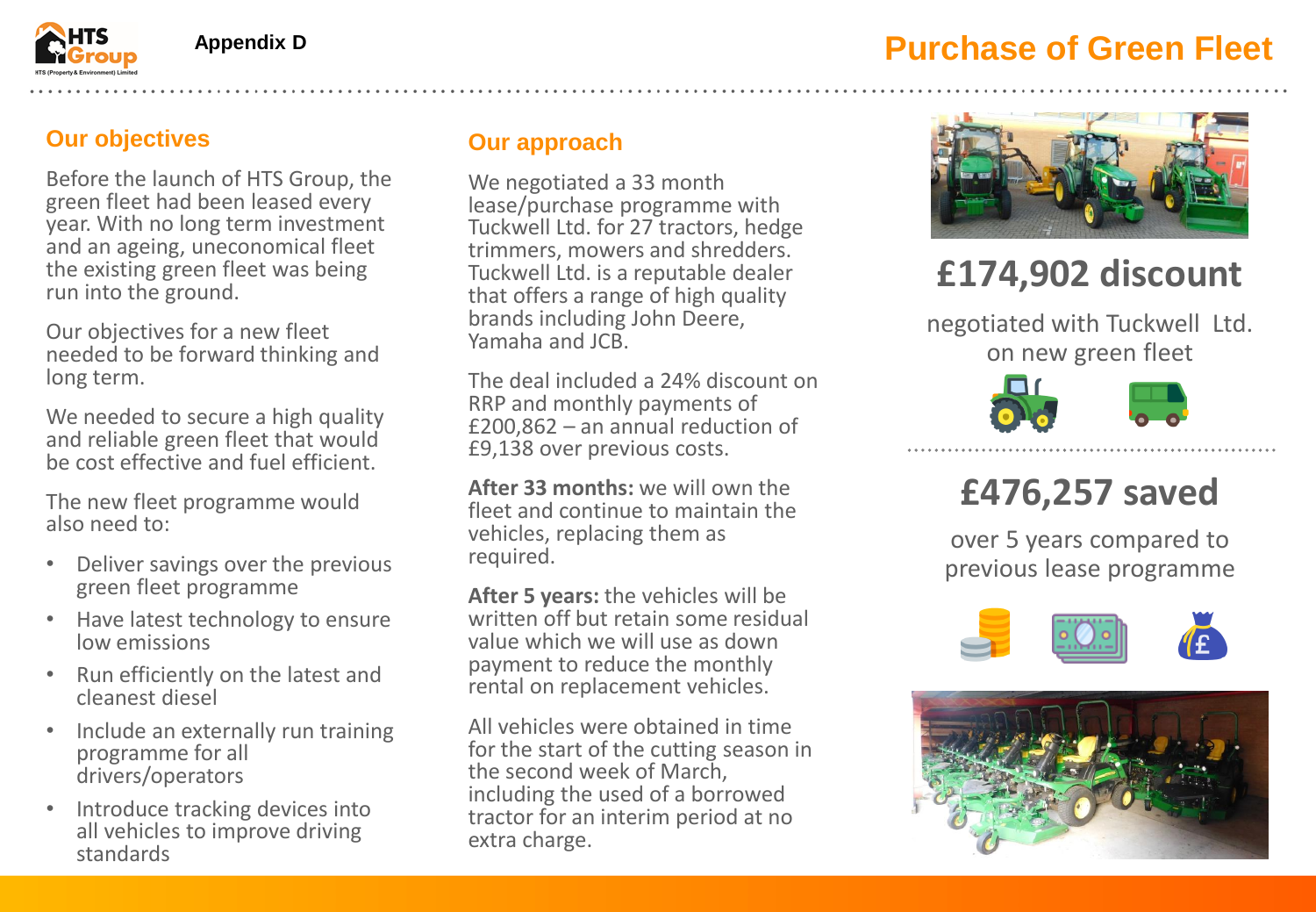### **Purchase of Green Fleet**



#### **Our objectives**

Before the launch of HTS Group, the green fleet had been leased every year. With no long term investment and an ageing, uneconomical fleet the existing green fleet was being run into the ground.

Our objectives for a new fleet needed to be forward thinking and long term.

We needed to secure a high quality and reliable green fleet that would be cost effective and fuel efficient.

The new fleet programme would also need to:

- Deliver savings over the previous green fleet programme
- Have latest technology to ensure low emissions
- Run efficiently on the latest and cleanest diesel
- Include an externally run training programme for all drivers/operators
- Introduce tracking devices into all vehicles to improve driving standards

### **Our approach**

We negotiated a 33 month lease/purchase programme with Tuckwell Ltd. for 27 tractors, hedge trimmers, mowers and shredders. Tuckwell Ltd. is a reputable dealer that offers a range of high quality brands including John Deere, Yamaha and JCB.

The deal included a 24% discount on RRP and monthly payments of £200,862 – an annual reduction of £9,138 over previous costs.

**After 33 months:** we will own the fleet and continue to maintain the vehicles, replacing them as required.

**After 5 years:** the vehicles will be written off but retain some residual value which we will use as down payment to reduce the monthly rental on replacement vehicles.

All vehicles were obtained in time for the start of the cutting season in the second week of March, including the used of a borrowed tractor for an interim period at no extra charge.



# **£174,902 discount**

negotiated with Tuckwell Ltd. on new green fleet



## **£476,257 saved**

over 5 years compared to previous lease programme